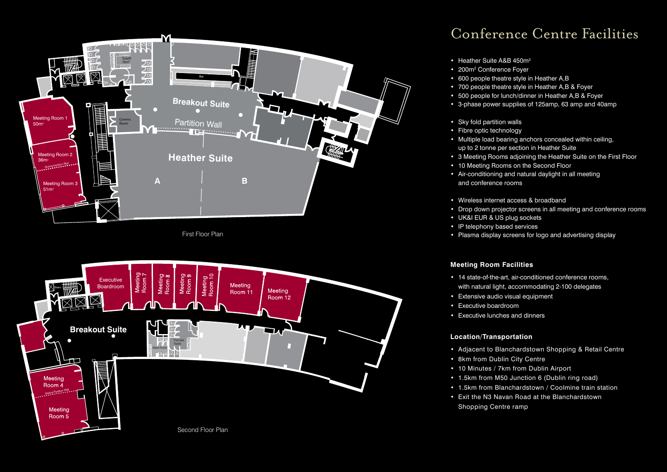

First Floor Plan



## Conference Centre Facilities

- Heather Suite A&B 450m<sup>2</sup>
- 200m<sup>2</sup> Conference Foyer
- 600 people theatre style in Heather A,B
- 700 people theatre style in Heather A,B & Foyer
- 500 people for lunch/dinner in Heather A,B & Foyer
- 3-phase power supplies of 125amp, 63 amp and 40amp
- Sky fold partition walls
- Fibre optic technology
- Multiple load bearing anchors concealed within ceiling, up to 2 tonne per section in Heather Suite
- 3 Meeting Rooms adjoining the Heather Suite on the First Floor
- 10 Meeting Rooms on the Second Floor
- Air-conditioning and natural daylight in all meeting and conference rooms
- Wireless internet access & broadband
- Drop down projector screens in all meeting and conference rooms
- UK&I EUR & US plug sockets
- IP telephony based services
- Plasma display screens for logo and advertising display

## **Meeting Room Facilities**

- 14 state-of-the-art, air-conditioned conference rooms, with natural light, accommodating 2-100 delegates
- Extensive audio visual equipment
- Executive boardroom
- Executive lunches and dinners

## **Location/Transportation**

- Adjacent to Blanchardstown Shopping & Retail Centre
- 8km from Dublin City Centre
- 10 Minutes / 7km from Dublin Airport
- 1.5km from M50 Junction 6 (Dublin ring road)
- 1.5km from Blanchardstown / Coolmine train station
- Exit the N3 Navan Road at the Blanchardstown Shopping Centre ramp